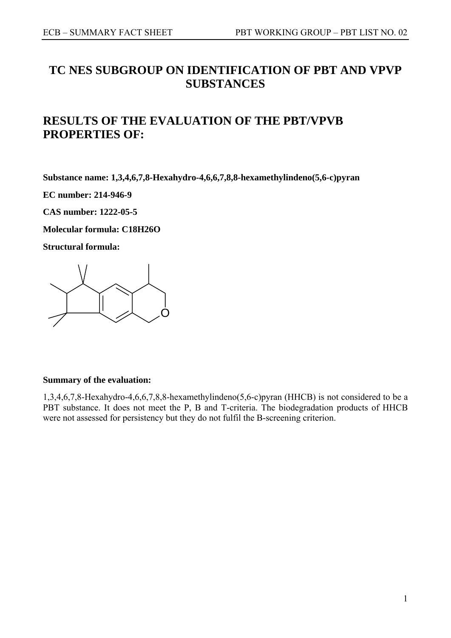# **TC NES SUBGROUP ON IDENTIFICATION OF PBT AND VPVP SUBSTANCES**

# **RESULTS OF THE EVALUATION OF THE PBT/VPVB PROPERTIES OF:**

**Substance name: 1,3,4,6,7,8-Hexahydro-4,6,6,7,8,8-hexamethylindeno(5,6-c)pyran** 

**EC number: 214-946-9** 

**CAS number: 1222-05-5** 

**Molecular formula: C18H26O** 

**Structural formula:** 



## **Summary of the evaluation:**

1,3,4,6,7,8-Hexahydro-4,6,6,7,8,8-hexamethylindeno(5,6-c)pyran (HHCB) is not considered to be a PBT substance. It does not meet the P, B and T-criteria. The biodegradation products of HHCB were not assessed for persistency but they do not fulfil the B-screening criterion.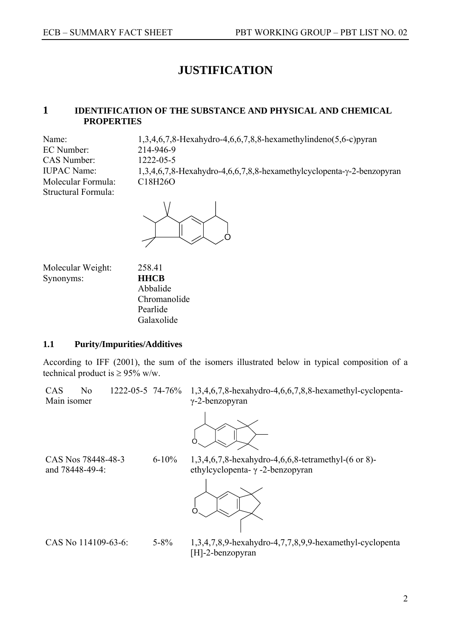# **JUSTIFICATION**

## **1 IDENTIFICATION OF THE SUBSTANCE AND PHYSICAL AND CHEMICAL PROPERTIES**

EC Number: 214-946-9 CAS Number: 1222-05-5 Molecular Formula: C18H26O Structural Formula:

Name: 1,3,4,6,7,8-Hexahydro-4,6,6,7,8,8-hexamethylindeno(5,6-c)pyran IUPAC Name: 1,3,4,6,7,8-Hexahydro-4,6,6,7,8,8-hexamethylcyclopenta-γ-2-benzopyran



Molecular Weight: 258.41 Synonyms: **HHCB** 

Abbalide Chromanolide Pearlide Galaxolide

## **1.1 Purity/Impurities/Additives**

According to IFF (2001), the sum of the isomers illustrated below in typical composition of a technical product is  $\geq$  95% w/w.

CAS No 1222-05-5 74-76% Main isomer

74-76% 1,3,4,6,7,8-hexahydro-4,6,6,7,8,8-hexamethyl-cyclopentaγ-2-benzopyran



CAS Nos 78448-48-3 and 78448-49-4:

6-10% 1,3,4,6,7,8-hexahydro-4,6,6,8-tetramethyl-(6 or 8) ethylcyclopenta- γ -2-benzopyran



CAS No 114109-63-6: 5-8% 1,3,4,7,8,9-hexahydro-4,7,7,8,9,9-hexamethyl-cyclopenta [H]-2-benzopyran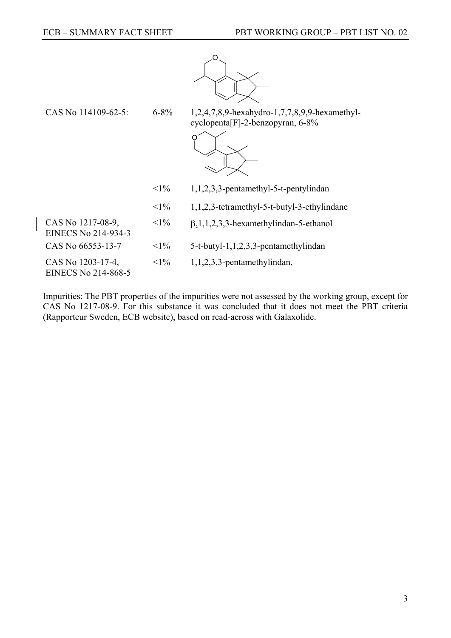

CAS No 114109-62-5: 6-8% 1,2,4,7,8,9-hexahydro-1,7,7,8,9,9-hexamethylcyclopenta[F]-2-benzopyran, 6-8%



| $< 1\%$ | $1,1,2,3,3$ -pentamethyl-5-t-pentylindan       |
|---------|------------------------------------------------|
| $< 1\%$ | $1,1,2,3$ -tetramethyl-5-t-butyl-3-ethylindane |

 $\langle 1\% \quad \beta_{1}, 1, 2, 3, 3\}$ -hexamethylindan-5-ethanol

CAS No  $66553-13-7$   $\leq 1\%$   $5-t-butyl-1,1,2,3,3-pentamethylindan$ 

CAS No 1203-17-4, EINECS No 214-868-5

CAS No 1217-08-9, EINECS No 214-934-3

 $\langle 1\% \rangle$  1,1,2,3,3-pentamethylindan,

Impurities: The PBT properties of the impurities were not assessed by the working group, except for CAS No 1217-08-9. For this substance it was concluded that it does not meet the PBT criteria (Rapporteur Sweden, ECB website), based on read-across with Galaxolide.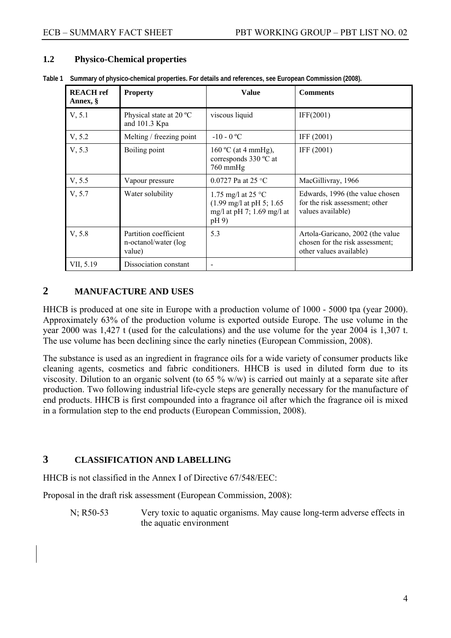## **1.2 Physico-Chemical properties**

| <b>REACH</b> ref<br>Annex, § | <b>Property</b>                                         | <b>Value</b>                                                                                                  | <b>Comments</b>                                                                                |
|------------------------------|---------------------------------------------------------|---------------------------------------------------------------------------------------------------------------|------------------------------------------------------------------------------------------------|
| V, 5.1                       | Physical state at 20 °C<br>and 101.3 Kpa                | viscous liquid                                                                                                | IFF(2001)                                                                                      |
| V, 5.2                       | Melting / freezing point                                | $-10 - 0$ °C                                                                                                  | IFF (2001)                                                                                     |
| V, 5.3                       | Boiling point                                           | 160 °C (at 4 mmHg),<br>corresponds 330 °C at<br>760 mmHg                                                      | IFF (2001)                                                                                     |
| V, 5.5                       | Vapour pressure                                         | 0.0727 Pa at 25 °C                                                                                            | MacGillivray, 1966                                                                             |
| V, 5.7                       | Water solubility                                        | 1.75 mg/l at 25 $^{\circ}$ C<br>$(1.99 \text{ mg/l at pH } 5; 1.65)$<br>mg/l at pH 7; $1.69$ mg/l at<br>pH 9) | Edwards, 1996 (the value chosen<br>for the risk assessment; other<br>values available)         |
| V, 5.8                       | Partition coefficient<br>n-octanol/water (log<br>value) | 5.3                                                                                                           | Artola-Garicano, 2002 (the value<br>chosen for the risk assessment;<br>other values available) |
| VII, 5.19                    | Dissociation constant                                   |                                                                                                               |                                                                                                |

**Table 1 Summary of physico-chemical properties. For details and references, see European Commission (2008).** 

## **2 MANUFACTURE AND USES**

HHCB is produced at one site in Europe with a production volume of 1000 - 5000 tpa (year 2000). Approximately 63% of the production volume is exported outside Europe. The use volume in the year 2000 was 1,427 t (used for the calculations) and the use volume for the year 2004 is 1,307 t. The use volume has been declining since the early nineties (European Commission, 2008).

The substance is used as an ingredient in fragrance oils for a wide variety of consumer products like cleaning agents, cosmetics and fabric conditioners. HHCB is used in diluted form due to its viscosity. Dilution to an organic solvent (to 65 % w/w) is carried out mainly at a separate site after production. Two following industrial life-cycle steps are generally necessary for the manufacture of end products. HHCB is first compounded into a fragrance oil after which the fragrance oil is mixed in a formulation step to the end products (European Commission, 2008).

## **3 CLASSIFICATION AND LABELLING**

HHCB is not classified in the Annex I of Directive 67/548/EEC:

Proposal in the draft risk assessment (European Commission, 2008):

N; R50-53 Very toxic to aquatic organisms. May cause long-term adverse effects in the aquatic environment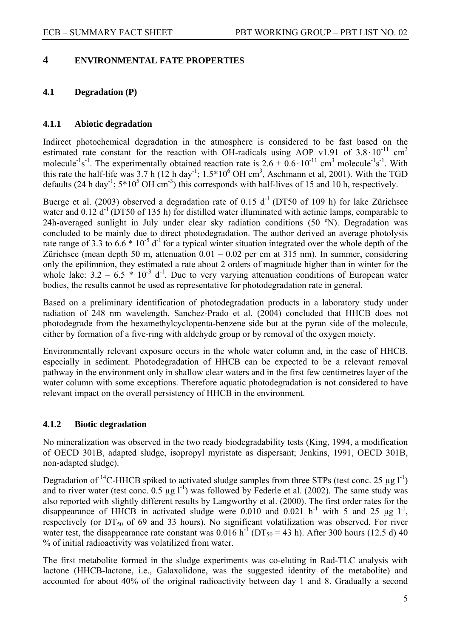## **4 ENVIRONMENTAL FATE PROPERTIES**

## **4.1 Degradation (P)**

## **4.1.1 Abiotic degradation**

Indirect photochemical degradation in the atmosphere is considered to be fast based on the estimated rate constant for the reaction with OH-radicals using AOP v1.91 of  $3.8 \cdot 10^{-11}$  cm<sup>3</sup> molecule<sup>-1</sup>s<sup>-1</sup>. The experimentally obtained reaction rate is  $2.6 \pm 0.6 \cdot 10^{-11}$  cm<sup>3</sup> molecule<sup>-1</sup>s<sup>-1</sup>. With this rate the half-life was 3.7 h (12 h day<sup>-1</sup>;  $1.5*10^6$  OH cm<sup>3</sup>, Aschmann et al, 2001). With the TGD defaults (24 h day<sup>-1</sup>;  $5*10^5$  OH cm<sup>-3</sup>) this corresponds with half-lives of 15 and 10 h, respectively.

Buerge et al. (2003) observed a degradation rate of 0.15  $d^{-1}$  (DT50 of 109 h) for lake Zürichsee water and  $0.12 d^{-1}$  (DT50 of 135 h) for distilled water illuminated with actinic lamps, comparable to 24h-averaged sunlight in July under clear sky radiation conditions (50 °N). Degradation was concluded to be mainly due to direct photodegradation. The author derived an average photolysis rate range of 3.3 to  $6.6 * 10^{-5}$  d<sup>-1</sup> for a typical winter situation integrated over the whole depth of the Zürichsee (mean depth 50 m, attenuation  $0.01 - 0.02$  per cm at 315 nm). In summer, considering only the epilimnion, they estimated a rate about 2 orders of magnitude higher than in winter for the whole lake:  $3.2 - 6.5 * 10^{-3} d^{-1}$ . Due to very varying attenuation conditions of European water bodies, the results cannot be used as representative for photodegradation rate in general.

Based on a preliminary identification of photodegradation products in a laboratory study under radiation of 248 nm wavelength, Sanchez-Prado et al. (2004) concluded that HHCB does not photodegrade from the hexamethylcyclopenta-benzene side but at the pyran side of the molecule, either by formation of a five-ring with aldehyde group or by removal of the oxygen moiety.

Environmentally relevant exposure occurs in the whole water column and, in the case of HHCB, especially in sediment. Photodegradation of HHCB can be expected to be a relevant removal pathway in the environment only in shallow clear waters and in the first few centimetres layer of the water column with some exceptions. Therefore aquatic photodegradation is not considered to have relevant impact on the overall persistency of HHCB in the environment.

## **4.1.2 Biotic degradation**

No mineralization was observed in the two ready biodegradability tests (King, 1994, a modification of OECD 301B, adapted sludge, isopropyl myristate as dispersant; Jenkins, 1991, OECD 301B, non-adapted sludge).

Degradation of <sup>14</sup>C-HHCB spiked to activated sludge samples from three STPs (test conc. 25 µg  $1^{-1}$ ) and to river water (test conc.  $0.5 \mu g I^{-1}$ ) was followed by Federle et al. (2002). The same study was also reported with slightly different results by Langworthy et al. (2000). The first order rates for the disappearance of HHCB in activated sludge were  $0.010$  and  $0.021$  h<sup>-1</sup> with 5 and 25 µg l<sup>-1</sup>. respectively (or  $DT_{50}$  of 69 and 33 hours). No significant volatilization was observed. For river water test, the disappearance rate constant was  $0.016 h^{-1}$  (DT<sub>50</sub> = 43 h). After 300 hours (12.5 d) 40 % of initial radioactivity was volatilized from water.

The first metabolite formed in the sludge experiments was co-eluting in Rad-TLC analysis with lactone (HHCB-lactone, i.e., Galaxolidone, was the suggested identity of the metabolite) and accounted for about 40% of the original radioactivity between day 1 and 8. Gradually a second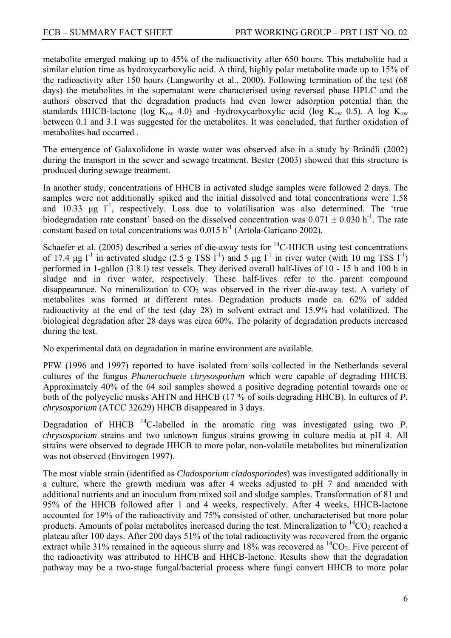metabolite emerged making up to 45% of the radioactivity after 650 hours. This metabolite had a similar elution time as hydroxycarboxylic acid. A third, highly polar metabolite made up to 15% of the radioactivity after 150 hours (Langworthy et al., 2000). Following termination of the test (68 days) the metabolites in the supernatant were characterised using reversed phase HPLC and the authors observed that the degradation products had even lower adsorption potential than the standards HHCB-lactone (log  $K_{ow}$  4.0) and -hydroxycarboxylic acid (log  $K_{ow}$  0.5). A log  $K_{ow}$ between 0.1 and 3.1 was suggested for the metabolites. It was concluded, that further oxidation of metabolites had occurred .

The emergence of Galaxolidone in waste water was observed also in a study by Brändli (2002) during the transport in the sewer and sewage treatment. Bester (2003) showed that this structure is produced during sewage treatment.

In another study, concentrations of HHCB in activated sludge samples were followed 2 days. The samples were not additionally spiked and the initial dissolved and total concentrations were 1.58 and 10.33  $\mu$ g l<sup>-1</sup>, respectively. Loss due to volatilisation was also determined. The 'true biodegradation rate constant' based on the dissolved concentration was  $0.071 \pm 0.030$  h<sup>-1</sup>. The rate constant based on total concentrations was  $0.015$  h<sup>-1</sup> (Artola-Garicano 2002).

Schaefer et al. (2005) described a series of die-away tests for  $^{14}$ C-HHCB using test concentrations of 17.4 μg  $l^{-1}$  in activated sludge (2.5 g TSS  $l^{-1}$ ) and 5 μg  $l^{-1}$  in river water (with 10 mg TSS  $l^{-1}$ ) performed in 1-gallon (3.8 l) test vessels. They derived overall half-lives of 10 - 15 h and 100 h in sludge and in river water, respectively. These half-lives refer to the parent compound disappearance. No mineralization to  $CO<sub>2</sub>$  was observed in the river die-away test. A variety of metabolites was formed at different rates. Degradation products made ca. 62% of added radioactivity at the end of the test (day 28) in solvent extract and 15.9% had volatilized. The biological degradation after 28 days was circa 60%. The polarity of degradation products increased during the test.

No experimental data on degradation in marine environment are available.

PFW (1996 and 1997) reported to have isolated from soils collected in the Netherlands several cultures of the fungus *Phanerochaete chrysosporium* which were capable of degrading HHCB. Approximately 40% of the 64 soil samples showed a positive degrading potential towards one or both of the polycyclic musks AHTN and HHCB (17 % of soils degrading HHCB). In cultures of *P. chrysosporium* (ATCC 32629) HHCB disappeared in 3 days.

Degradation of HHCB 14C-labelled in the aromatic ring was investigated using two *P. chrysosporium* strains and two unknown fungus strains growing in culture media at pH 4. All strains were observed to degrade HHCB to more polar, non-volatile metabolites but mineralization was not observed (Envirogen 1997).

The most viable strain (identified as *Cladosporium cladosporiodes*) was investigated additionally in a culture, where the growth medium was after 4 weeks adjusted to pH 7 and amended with additional nutrients and an inoculum from mixed soil and sludge samples. Transformation of 81 and 95% of the HHCB followed after 1 and 4 weeks, respectively. After 4 weeks, HHCB-lactone accounted for 19% of the radioactivity and 75% consisted of other, uncharacterised but more polar products. Amounts of polar metabolites increased during the test. Mineralization to  ${}^{14}CO_2$  reached a plateau after 100 days. After 200 days 51% of the total radioactivity was recovered from the organic extract while 31% remained in the aqueous slurry and 18% was recovered as  ${}^{14}CO_2$ . Five percent of the radioactivity was attributed to HHCB and HHCB-lactone. Results show that the degradation pathway may be a two-stage fungal/bacterial process where fungi convert HHCB to more polar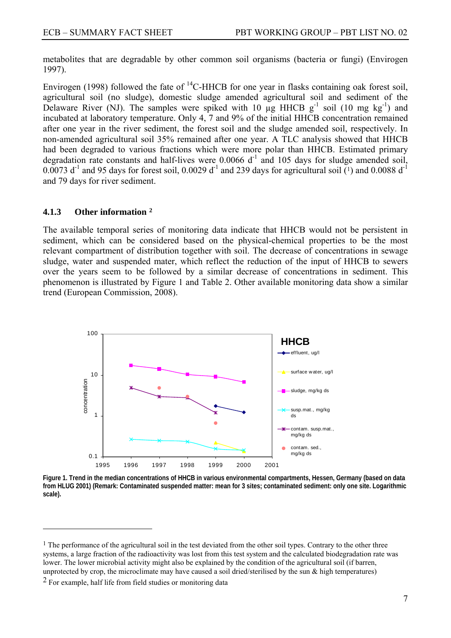<span id="page-6-0"></span>metabolites that are degradable by other common soil organisms (bacteria or fungi) (Envirogen 1997).

Envirogen (1998) followed the fate of  ${}^{14}$ C-HHCB for one year in flasks containing oak forest soil, agricultural soil (no sludge), domestic sludge amended agricultural soil and sediment of the Delaware River (NJ). The samples were spiked with 10  $\mu$ g HHCB g<sup>-1</sup> soil (10 mg kg<sup>-1</sup>) and incubated at laboratory temperature. Only 4, 7 and 9% of the initial HHCB concentration remained after one year in the river sediment, the forest soil and the sludge amended soil, respectively. In non-amended agricultural soil 35% remained after one year. A TLC analysis showed that HHCB had been degraded to various fractions which were more polar than HHCB. Estimated primary degradation rate constants and half-lives were  $0.0066 \, d^{-1}$  and 105 days for sludge amended soil, 0.0073 d<sup>-1</sup> and 95 days for forest soil, 0.0029 d<sup>-1</sup> and 239 days for agricultural soil  $\overline{^{(1)}}$  $\overline{^{(1)}}$  $\overline{^{(1)}}$  and 0.0088 d<sup>-1</sup> and 79 days for river sediment.

#### **4.1.3 Other information [2](#page-6-0)**

The available temporal series of monitoring data indicate that HHCB would not be persistent in sediment, which can be considered based on the physical-chemical properties to be the most relevant compartment of distribution together with soil. The decrease of concentrations in sewage sludge, water and suspended mater, which reflect the reduction of the input of HHCB to sewers over the years seem to be followed by a similar decrease of concentrations in sediment. This phenomenon is illustrated by Figure 1 and Table 2. Other available monitoring data show a similar trend (European Commission, 2008).



**Figure 1. Trend in the median concentrations of HHCB in various environmental compartments, Hessen, Germany (based on data from HLUG 2001) (Remark: Contaminated suspended matter: mean for 3 sites; contaminated sediment: only one site. Logarithmic scale).** 

 $\overline{a}$ 

<sup>&</sup>lt;sup>1</sup> The performance of the agricultural soil in the test deviated from the other soil types. Contrary to the other three systems, a large fraction of the radioactivity was lost from this test system and the calculated biodegradation rate was lower. The lower microbial activity might also be explained by the condition of the agricultural soil (if barren, unprotected by crop, the microclimate may have caused a soil dried/sterilised by the sun & high temperatures)

<sup>&</sup>lt;sup>2</sup> For example, half life from field studies or monitoring data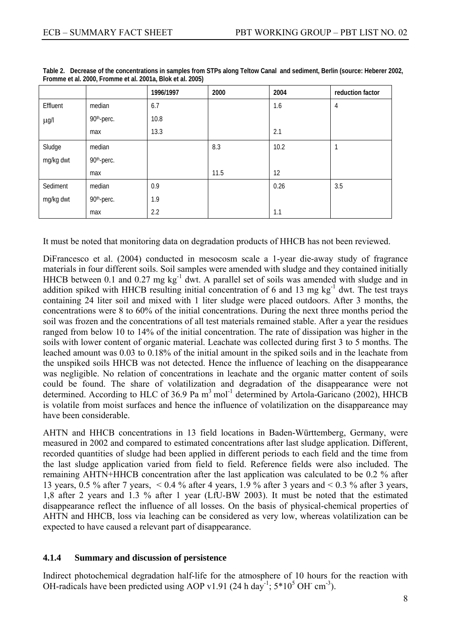|           |            | 1996/1997 | 2000 | 2004 | reduction factor |
|-----------|------------|-----------|------|------|------------------|
| Effluent  | median     | 6.7       |      | 1.6  | 4                |
| $\mu$ g/l | 90th-perc. | 10.8      |      |      |                  |
|           | max        | 13.3      |      | 2.1  |                  |
| Sludge    | median     |           | 8.3  | 10.2 |                  |
| mg/kg dwt | 90th-perc. |           |      |      |                  |
|           | max        |           | 11.5 | 12   |                  |
| Sediment  | median     | 0.9       |      | 0.26 | 3.5              |
| mg/kg dwt | 90th-perc. | 1.9       |      |      |                  |
|           | max        | 2.2       |      | 1.1  |                  |

**Table 2. Decrease of the concentrations in samples from STPs along Teltow Canal and sediment, Berlin (source: Heberer 2002, Fromme et al. 2000, Fromme et al. 2001a, Blok et al. 2005)** 

It must be noted that monitoring data on degradation products of HHCB has not been reviewed.

DiFrancesco et al. (2004) conducted in mesocosm scale a 1-year die-away study of fragrance materials in four different soils. Soil samples were amended with sludge and they contained initially HHCB between 0.1 and 0.27 mg  $kg^{-1}$  dwt. A parallel set of soils was amended with sludge and in addition spiked with HHCB resulting initial concentration of 6 and 13 mg kg<sup>-1</sup> dwt. The test trays containing 24 liter soil and mixed with 1 liter sludge were placed outdoors. After 3 months, the concentrations were 8 to 60% of the initial concentrations. During the next three months period the soil was frozen and the concentrations of all test materials remained stable. After a year the residues ranged from below 10 to 14% of the initial concentration. The rate of dissipation was higher in the soils with lower content of organic material. Leachate was collected during first 3 to 5 months. The leached amount was 0.03 to 0.18% of the initial amount in the spiked soils and in the leachate from the unspiked soils HHCB was not detected. Hence the influence of leaching on the disappearance was negligible. No relation of concentrations in leachate and the organic matter content of soils could be found. The share of volatilization and degradation of the disappearance were not determined. According to HLC of 36.9 Pa  $m<sup>3</sup>$  mol<sup>-1</sup> determined by Artola-Garicano (2002), HHCB is volatile from moist surfaces and hence the influence of volatilization on the disappareance may have been considerable.

AHTN and HHCB concentrations in 13 field locations in Baden-Württemberg, Germany, were measured in 2002 and compared to estimated concentrations after last sludge application. Different, recorded quantities of sludge had been applied in different periods to each field and the time from the last sludge application varied from field to field. Reference fields were also included. The remaining AHTN+HHCB concentration after the last application was calculated to be 0.2 % after 13 years, 0.5 % after 7 years, < 0.4 % after 4 years, 1.9 % after 3 years and < 0.3 % after 3 years, 1,8 after 2 years and 1.3 % after 1 year (LfU-BW 2003). It must be noted that the estimated disappearance reflect the influence of all losses. On the basis of physical-chemical properties of AHTN and HHCB, loss via leaching can be considered as very low, whereas volatilization can be expected to have caused a relevant part of disappearance.

## **4.1.4 Summary and discussion of persistence**

Indirect photochemical degradation half-life for the atmosphere of 10 hours for the reaction with OH-radicals have been predicted using AOP v1.91 (24 h day<sup>-1</sup>;  $5*10^5$  OH cm<sup>-3</sup>).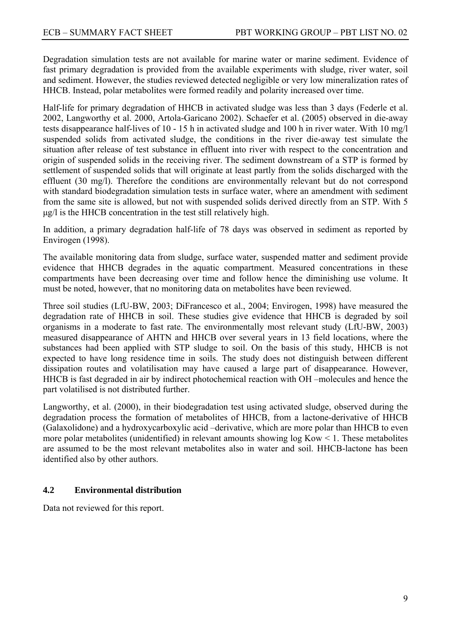Degradation simulation tests are not available for marine water or marine sediment. Evidence of fast primary degradation is provided from the available experiments with sludge, river water, soil and sediment. However, the studies reviewed detected negligible or very low mineralization rates of HHCB. Instead, polar metabolites were formed readily and polarity increased over time.

Half-life for primary degradation of HHCB in activated sludge was less than 3 days (Federle et al. 2002, Langworthy et al. 2000, Artola-Garicano 2002). Schaefer et al. (2005) observed in die-away tests disappearance half-lives of 10 - 15 h in activated sludge and 100 h in river water. With 10 mg/l suspended solids from activated sludge, the conditions in the river die-away test simulate the situation after release of test substance in effluent into river with respect to the concentration and origin of suspended solids in the receiving river. The sediment downstream of a STP is formed by settlement of suspended solids that will originate at least partly from the solids discharged with the effluent (30 mg/l). Therefore the conditions are environmentally relevant but do not correspond with standard biodegradation simulation tests in surface water, where an amendment with sediment from the same site is allowed, but not with suspended solids derived directly from an STP. With 5 μg/l is the HHCB concentration in the test still relatively high.

In addition, a primary degradation half-life of 78 days was observed in sediment as reported by Envirogen (1998).

The available monitoring data from sludge, surface water, suspended matter and sediment provide evidence that HHCB degrades in the aquatic compartment. Measured concentrations in these compartments have been decreasing over time and follow hence the diminishing use volume. It must be noted, however, that no monitoring data on metabolites have been reviewed.

Three soil studies (LfU-BW, 2003; DiFrancesco et al., 2004; Envirogen, 1998) have measured the degradation rate of HHCB in soil. These studies give evidence that HHCB is degraded by soil organisms in a moderate to fast rate. The environmentally most relevant study (LfU-BW, 2003) measured disappearance of AHTN and HHCB over several years in 13 field locations, where the substances had been applied with STP sludge to soil. On the basis of this study, HHCB is not expected to have long residence time in soils. The study does not distinguish between different dissipation routes and volatilisation may have caused a large part of disappearance. However, HHCB is fast degraded in air by indirect photochemical reaction with OH –molecules and hence the part volatilised is not distributed further.

Langworthy, et al. (2000), in their biodegradation test using activated sludge, observed during the degradation process the formation of metabolites of HHCB, from a lactone-derivative of HHCB (Galaxolidone) and a hydroxycarboxylic acid –derivative, which are more polar than HHCB to even more polar metabolites (unidentified) in relevant amounts showing  $log Kow < 1$ . These metabolites are assumed to be the most relevant metabolites also in water and soil. HHCB-lactone has been identified also by other authors.

## **4.2 Environmental distribution**

Data not reviewed for this report.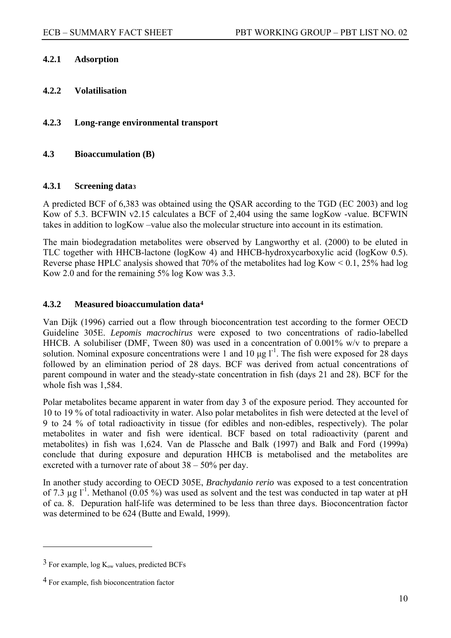## <span id="page-9-0"></span>**4.2.1 Adsorption**

- **4.2.2 Volatilisation**
- **4.2.3 Long-range environmental transport**

## **4.3 Bioaccumulation (B)**

#### **4.3.1 Screening data[3](#page-9-0)**

A predicted BCF of 6,383 was obtained using the QSAR according to the TGD (EC 2003) and log Kow of 5.3. BCFWIN v2.15 calculates a BCF of 2,404 using the same logKow -value. BCFWIN takes in addition to logKow –value also the molecular structure into account in its estimation.

The main biodegradation metabolites were observed by Langworthy et al. (2000) to be eluted in TLC together with HHCB-lactone (logKow 4) and HHCB-hydroxycarboxylic acid (logKow 0.5). Reverse phase HPLC analysis showed that 70% of the metabolites had log Kow  $\leq 0.1$ , 25% had log Kow 2.0 and for the remaining 5% log Kow was 3.3.

## **4.3.2 Measured bioaccumulation data[4](#page-9-0)**

Van Dijk (1996) carried out a flow through bioconcentration test according to the former OECD Guideline 305E. *Lepomis macrochirus* were exposed to two concentrations of radio-labelled HHCB. A solubiliser (DMF, Tween 80) was used in a concentration of 0.001% w/v to prepare a solution. Nominal exposure concentrations were 1 and 10  $\mu$ g l<sup>-1</sup>. The fish were exposed for 28 days followed by an elimination period of 28 days. BCF was derived from actual concentrations of parent compound in water and the steady-state concentration in fish (days 21 and 28). BCF for the whole fish was 1,584.

Polar metabolites became apparent in water from day 3 of the exposure period. They accounted for 10 to 19 % of total radioactivity in water. Also polar metabolites in fish were detected at the level of 9 to 24 % of total radioactivity in tissue (for edibles and non-edibles, respectively). The polar metabolites in water and fish were identical. BCF based on total radioactivity (parent and metabolites) in fish was 1,624. Van de Plassche and Balk (1997) and Balk and Ford (1999a) conclude that during exposure and depuration HHCB is metabolised and the metabolites are excreted with a turnover rate of about 38 – 50% per day.

In another study according to OECD 305E, *Brachydanio rerio* was exposed to a test concentration of 7.3  $\mu$ g l<sup>-1</sup>. Methanol (0.05 %) was used as solvent and the test was conducted in tap water at pH of ca. 8. Depuration half-life was determined to be less than three days. Bioconcentration factor was determined to be 624 (Butte and Ewald, 1999).

 $\overline{a}$ 

 $3$  For example, log  $K_{ow}$  values, predicted BCFs

<sup>4</sup> For example, fish bioconcentration factor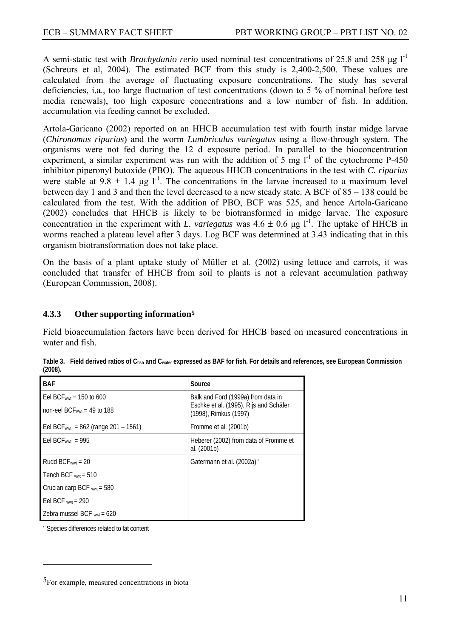<span id="page-10-0"></span>A semi-static test with *Brachydanio rerio* used nominal test concentrations of 25.8 and 258 μg l<sup>-1</sup> (Schreurs et al, 2004). The estimated BCF from this study is 2,400-2,500. These values are calculated from the average of fluctuating exposure concentrations. The study has several deficiencies, i.a., too large fluctuation of test concentrations (down to 5 % of nominal before test media renewals), too high exposure concentrations and a low number of fish. In addition, accumulation via feeding cannot be excluded.

Artola-Garicano (2002) reported on an HHCB accumulation test with fourth instar midge larvae (*Chironomus riparius*) and the worm *Lumbriculus variegatus* using a flow-through system. The organisms were not fed during the 12 d exposure period. In parallel to the bioconcentration experiment, a similar experiment was run with the addition of 5 mg  $1^{-1}$  of the cytochrome P-450 inhibitor piperonyl butoxide (PBO). The aqueous HHCB concentrations in the test with *C. riparius*  were stable at  $9.8 \pm 1.4$  ug l<sup>-1</sup>. The concentrations in the larvae increased to a maximum level between day 1 and 3 and then the level decreased to a new steady state. A BCF of 85 – 138 could be calculated from the test. With the addition of PBO, BCF was 525, and hence Artola-Garicano (2002) concludes that HHCB is likely to be biotransformed in midge larvae. The exposure concentration in the experiment with *L. variegatus* was  $4.6 \pm 0.6$  µg l<sup>-1</sup>. The uptake of HHCB in worms reached a plateau level after 3 days. Log BCF was determined at 3.43 indicating that in this organism biotransformation does not take place.

On the basis of a plant uptake study of Müller et al. (2002) using lettuce and carrots, it was concluded that transfer of HHCB from soil to plants is not a relevant accumulation pathway (European Commission, 2008).

## **4.3.3 Other supporting information[5](#page-10-0)**

Field bioaccumulation factors have been derived for HHCB based on measured concentrations in water and fish.

| <b>BAF</b>                                           | Source                                                                       |
|------------------------------------------------------|------------------------------------------------------------------------------|
| Eel BCFwwt = $150$ to 600                            | Balk and Ford (1999a) from data in<br>Eschke et al. (1995), Rijs and Schäfer |
| non-eel BCF $_{wwt}$ = 49 to 188                     | (1998), Rimkus (1997)                                                        |
| Eel BCF <sub>wwt</sub> = $862$ (range $201 - 1561$ ) | Fromme et al. (2001b)                                                        |
| Eel BCF $_{wwt}$ = 995                               | Heberer (2002) from data of Fromme et<br>al. (2001b)                         |
| Rudd $BCF_{wwt} = 20$                                | Gatermann et al. (2002a)                                                     |
| Tench BCF $_{wwt}$ = 510                             |                                                                              |
| Crucian carp BCF $_{wwt}$ = 580                      |                                                                              |
| Eel BCF $_{wwt}$ = 290                               |                                                                              |
| Zebra mussel BCF $_{wwt}$ = 620                      |                                                                              |

**Table 3. Field derived ratios of Cfish and Cwater expressed as BAF for fish. For details and references, see European Commission (2008).** 

Species differences related to fat content

 $\overline{a}$ 

<sup>5</sup>For example, measured concentrations in biota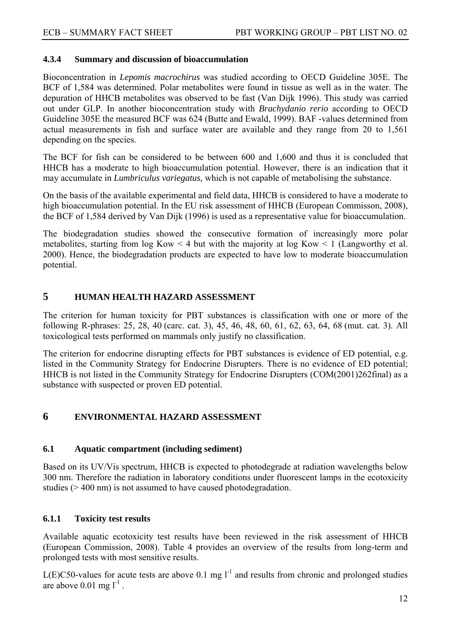## **4.3.4 Summary and discussion of bioaccumulation**

Bioconcentration in *Lepomis macrochirus* was studied according to OECD Guideline 305E. The BCF of 1,584 was determined. Polar metabolites were found in tissue as well as in the water. The depuration of HHCB metabolites was observed to be fast (Van Dijk 1996). This study was carried out under GLP. In another bioconcentration study with *Brachydanio rerio* according to OECD Guideline 305E the measured BCF was 624 (Butte and Ewald, 1999). BAF -values determined from actual measurements in fish and surface water are available and they range from 20 to 1,561 depending on the species.

The BCF for fish can be considered to be between 600 and 1,600 and thus it is concluded that HHCB has a moderate to high bioaccumulation potential. However, there is an indication that it may accumulate in *Lumbriculus variegatus,* which is not capable of metabolising the substance.

On the basis of the available experimental and field data, HHCB is considered to have a moderate to high bioaccumulation potential. In the EU risk assessment of HHCB (European Commisson, 2008), the BCF of 1,584 derived by Van Dijk (1996) is used as a representative value for bioaccumulation.

The biodegradation studies showed the consecutive formation of increasingly more polar metabolites, starting from  $log Kow < 4$  but with the majority at  $log Kow < 1$  (Langworthy et al. 2000). Hence, the biodegradation products are expected to have low to moderate bioaccumulation potential.

## **5 HUMAN HEALTH HAZARD ASSESSMENT**

The criterion for human toxicity for PBT substances is classification with one or more of the following R-phrases: 25, 28, 40 (carc. cat. 3), 45, 46, 48, 60, 61, 62, 63, 64, 68 (mut. cat. 3). All toxicological tests performed on mammals only justify no classification.

The criterion for endocrine disrupting effects for PBT substances is evidence of ED potential, e.g. listed in the Community Strategy for Endocrine Disrupters. There is no evidence of ED potential; HHCB is not listed in the Community Strategy for Endocrine Disrupters (COM(2001)262final) as a substance with suspected or proven ED potential.

## **6 ENVIRONMENTAL HAZARD ASSESSMENT**

## **6.1 Aquatic compartment (including sediment)**

Based on its UV/Vis spectrum, HHCB is expected to photodegrade at radiation wavelengths below 300 nm. Therefore the radiation in laboratory conditions under fluorescent lamps in the ecotoxicity studies (> 400 nm) is not assumed to have caused photodegradation.

## **6.1.1 Toxicity test results**

Available aquatic ecotoxicity test results have been reviewed in the risk assessment of HHCB (European Commission, 2008). Table 4 provides an overview of the results from long-term and prolonged tests with most sensitive results.

L(E)C50-values for acute tests are above 0.1 mg  $1^{-1}$  and results from chronic and prolonged studies are above  $0.01$  mg  $l^{-1}$ .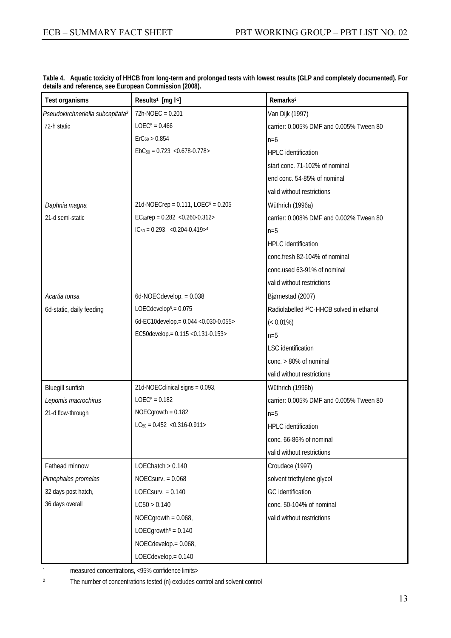| Test organisms                               | Results <sup>1</sup> [mg l-1]                       | Remarks <sup>2</sup>                                 |
|----------------------------------------------|-----------------------------------------------------|------------------------------------------------------|
| Pseudokirchneriella subcapitata <sup>3</sup> | 72h-NOEC = 0.201                                    | Van Dijk (1997)                                      |
| 72-h static                                  | $LOEC5 = 0.466$                                     | carrier: 0.005% DMF and 0.005% Tween 80              |
|                                              | $\text{ErC}_{50} > 0.854$                           | $n=6$                                                |
|                                              | $EbC_{50} = 0.723$ < 0.678-0.778>                   | <b>HPLC</b> identification                           |
|                                              |                                                     | start conc. 71-102% of nominal                       |
|                                              |                                                     | end conc. 54-85% of nominal                          |
|                                              |                                                     | valid without restrictions                           |
| Daphnia magna                                | 21d-NOECrep = $0.111$ , LOEC <sup>5</sup> = $0.205$ | Wüthrich (1996a)                                     |
| 21-d semi-static                             | EC <sub>50</sub> rep = $0.282$ < $0.260 - 0.312$ >  | carrier: 0.008% DMF and 0.002% Tween 80              |
|                                              | $IC_{50} = 0.293$ < 0.204-0.419> <sup>4</sup>       | $n=5$                                                |
|                                              |                                                     | <b>HPLC</b> identification                           |
|                                              |                                                     | conc.fresh 82-104% of nominal                        |
|                                              |                                                     | conc.used 63-91% of nominal                          |
|                                              |                                                     | valid without restrictions                           |
| Acartia tonsa                                | 6d-NOECdevelop. $= 0.038$                           | Bjørnestad (2007)                                    |
| 6d-static, daily feeding                     | LOECdevelop $5 = 0.075$                             | Radiolabelled <sup>14</sup> C-HHCB solved in ethanol |
|                                              | 6d-EC10develop.= 0.044 < 0.030-0.055>               | $(< 0.01\%)$                                         |
|                                              | EC50develop.= 0.115 < 0.131-0.153>                  | $n=5$                                                |
|                                              |                                                     | <b>LSC</b> identification                            |
|                                              |                                                     | conc. > 80% of nominal                               |
|                                              |                                                     | valid without restrictions                           |
| Bluegill sunfish                             | 21d-NOECclinical signs = 0.093,                     | Wüthrich (1996b)                                     |
| Lepomis macrochirus                          | $LOEC5 = 0.182$                                     | carrier: 0.005% DMF and 0.005% Tween 80              |
| 21-d flow-through                            | NOECgrowth = 0.182                                  | $n=5$                                                |
|                                              | $LC_{50} = 0.452$ < 0.316-0.911>                    | <b>HPLC</b> identification                           |
|                                              |                                                     | conc. 66-86% of nominal                              |
|                                              |                                                     | valid without restrictions                           |
| Fathead minnow                               | LOEChatch > 0.140                                   | Croudace (1997)                                      |
| Pimephales promelas                          | $NOEC$ surv. = $0.068$                              | solvent triethylene glycol                           |
| 32 days post hatch,                          | LOECsurv. $= 0.140$                                 | GC identification                                    |
| 36 days overall                              | LC50 > 0.140                                        | conc. 50-104% of nominal                             |
|                                              | NOECgrowth = $0.068$ ,                              | valid without restrictions                           |
|                                              | LOECgrowth <sup><math>6</math></sup> = 0.140        |                                                      |
|                                              | NOECdevelop.= 0.068,                                |                                                      |
|                                              | LOECdevelop.= 0.140                                 |                                                      |

**Table 4. Aquatic toxicity of HHCB from long-term and prolonged tests with lowest results (GLP and completely documented). For details and reference, see European Commission (2008).** 

1 measured concentrations, <95% confidence limits>

2 The number of concentrations tested (n) excludes control and solvent control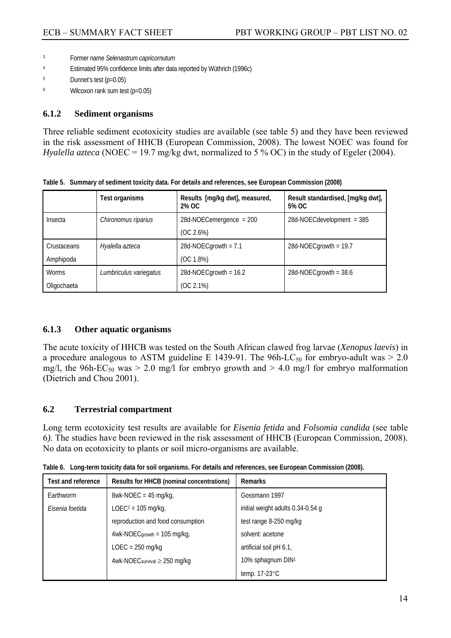- 3 Former name *Selenastrum capricornutum*
- 4 Estimated 95% confidence limits after data reported by Wüthrich (1996c)
- 5 Dunnet's test (p=0.05)
- 6 Wilcoxon rank sum test (p=0.05)

#### **6.1.2 Sediment organisms**

Three reliable sediment ecotoxicity studies are available (see table 5) and they have been reviewed in the risk assessment of HHCB (European Commission, 2008). The lowest NOEC was found for *Hyalella azteca* (NOEC = 19.7 mg/kg dwt, normalized to 5 % OC) in the study of Egeler (2004).

|              | <b>Test organisms</b>  | Results [mg/kg dwt], measured,<br>2% OC | Result standardised, [mg/kg dwt],<br>5% OC |
|--------------|------------------------|-----------------------------------------|--------------------------------------------|
| Insecta      | Chironomus riparius    | $28d-NOECemergence = 200$               | $28d$ -NOECdevelopment = 385               |
|              |                        | (OC 2.6%)                               |                                            |
| Crustaceans  | Hyalella azteca        | 28d-NOECgrowth = $7.1$                  | 28d-NOECgrowth = $19.7$                    |
| Amphipoda    |                        | (OC 1.8%)                               |                                            |
| <b>Worms</b> | Lumbriculus variegatus | 28d-NOECgrowth = $16.2$                 | 28d-NOECgrowth = $38.6$                    |
| Oligochaeta  |                        | (OC 2.1%)                               |                                            |

**Table 5. Summary of sediment toxicity data. For details and references, see European Commission (2008)** 

#### **6.1.3 Other aquatic organisms**

The acute toxicity of HHCB was tested on the South African clawed frog larvae (*Xenopus laevis*) in a procedure analogous to ASTM guideline E 1439-91. The 96h-LC<sub>50</sub> for embryo-adult was  $> 2.0$ mg/l, the 96h-EC<sub>50</sub> was  $> 2.0$  mg/l for embryo growth and  $> 4.0$  mg/l for embryo malformation (Dietrich and Chou 2001).

## **6.2 Terrestrial compartment**

Long term ecotoxicity test results are available for *Eisenia fetida* and *Folsomia candida* (see table 6*)*. The studies have been reviewed in the risk assessment of HHCB (European Commission, 2008). No data on ecotoxicity to plants or soil micro-organisms are available.

| <b>Test and reference</b> | Results for HHCB (nominal concentrations) | <b>Remarks</b>                    |
|---------------------------|-------------------------------------------|-----------------------------------|
| Earthworm                 | $8wk-NOEC = 45 mg/kg$ ,                   | Gossmann 1997                     |
| Eisenia foetida           | LOEC <sup>2</sup> = 105 mg/kg,            | initial weight adults 0.34-0.54 g |
|                           | reproduction and food consumption         | test range 8-250 mg/kg            |
|                           | $4wk-NOEC$ growth = 105 mg/kg,            | solvent: acetone                  |
|                           | $LOEC = 250$ mg/kg                        | artificial soil pH 6.1,           |
|                           | 4wk-NOEC survival $\geq$ 250 mg/kg        | 10% sphagnum DIN1                 |
|                           |                                           | temp. 17-23°C                     |

**Table 6. Long-term toxicity data for soil organisms. For details and references, see European Commission (2008).**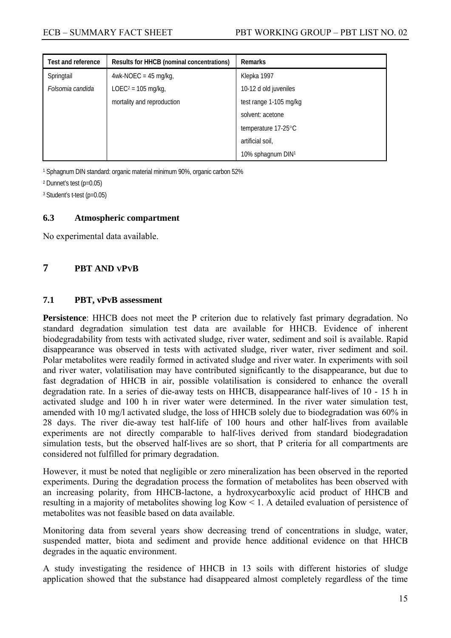| <b>Test and reference</b> | Results for HHCB (nominal concentrations) | <b>Remarks</b>         |
|---------------------------|-------------------------------------------|------------------------|
| Springtail                | $4wk-NOEC = 45$ mg/kg,                    | Klepka 1997            |
| Folsomia candida          | LOEC <sup>2</sup> = 105 mg/kg,            | 10-12 d old juveniles  |
|                           | mortality and reproduction                | test range 1-105 mg/kg |
|                           |                                           | solvent: acetone       |
|                           |                                           | temperature 17-25°C    |
|                           |                                           | artificial soil,       |
|                           |                                           | 10% sphagnum DIN1      |

1 Sphagnum DIN standard: organic material minimum 90%, organic carbon 52%

2 Dunnet's test (p=0.05)

3 Student's t-test (p=0.05)

#### **6.3 Atmospheric compartment**

No experimental data available.

## **7 PBT AND VPVB**

#### **7.1 PBT, vPvB assessment**

**Persistence**: HHCB does not meet the P criterion due to relatively fast primary degradation. No standard degradation simulation test data are available for HHCB. Evidence of inherent biodegradability from tests with activated sludge, river water, sediment and soil is available. Rapid disappearance was observed in tests with activated sludge, river water, river sediment and soil. Polar metabolites were readily formed in activated sludge and river water. In experiments with soil and river water, volatilisation may have contributed significantly to the disappearance, but due to fast degradation of HHCB in air, possible volatilisation is considered to enhance the overall degradation rate. In a series of die-away tests on HHCB, disappearance half-lives of 10 - 15 h in activated sludge and 100 h in river water were determined. In the river water simulation test, amended with 10 mg/l activated sludge, the loss of HHCB solely due to biodegradation was 60% in 28 days. The river die-away test half-life of 100 hours and other half-lives from available experiments are not directly comparable to half-lives derived from standard biodegradation simulation tests, but the observed half-lives are so short, that P criteria for all compartments are considered not fulfilled for primary degradation.

However, it must be noted that negligible or zero mineralization has been observed in the reported experiments. During the degradation process the formation of metabolites has been observed with an increasing polarity, from HHCB-lactone, a hydroxycarboxylic acid product of HHCB and resulting in a majority of metabolites showing log Kow < 1. A detailed evaluation of persistence of metabolites was not feasible based on data available.

Monitoring data from several years show decreasing trend of concentrations in sludge, water, suspended matter, biota and sediment and provide hence additional evidence on that HHCB degrades in the aquatic environment.

A study investigating the residence of HHCB in 13 soils with different histories of sludge application showed that the substance had disappeared almost completely regardless of the time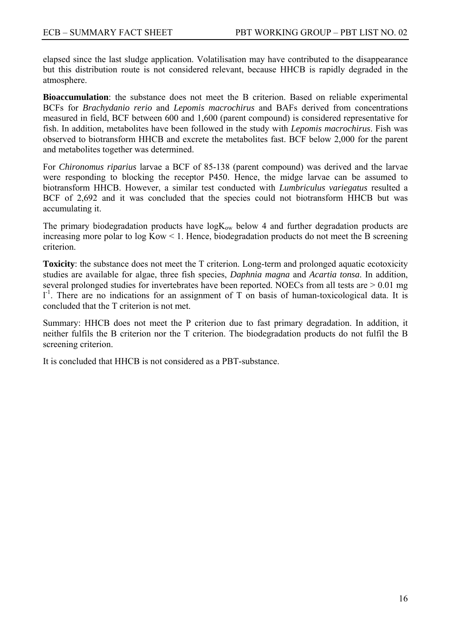elapsed since the last sludge application. Volatilisation may have contributed to the disappearance but this distribution route is not considered relevant, because HHCB is rapidly degraded in the atmosphere.

**Bioaccumulation**: the substance does not meet the B criterion. Based on reliable experimental BCFs for *Brachydanio rerio* and *Lepomis macrochirus* and BAFs derived from concentrations measured in field, BCF between 600 and 1,600 (parent compound) is considered representative for fish. In addition, metabolites have been followed in the study with *Lepomis macrochirus*. Fish was observed to biotransform HHCB and excrete the metabolites fast. BCF below 2,000 for the parent and metabolites together was determined.

For *Chironomus riparius* larvae a BCF of 85-138 (parent compound) was derived and the larvae were responding to blocking the receptor P450. Hence, the midge larvae can be assumed to biotransform HHCB. However, a similar test conducted with *Lumbriculus variegatus* resulted a BCF of 2,692 and it was concluded that the species could not biotransform HHCB but was accumulating it.

The primary biodegradation products have  $logK_{ow}$  below 4 and further degradation products are increasing more polar to log Kow < 1. Hence, biodegradation products do not meet the B screening criterion.

**Toxicity**: the substance does not meet the T criterion. Long-term and prolonged aquatic ecotoxicity studies are available for algae, three fish species, *Daphnia magna* and *Acartia tonsa*. In addition, several prolonged studies for invertebrates have been reported. NOECs from all tests are  $> 0.01$  mg  $1<sup>-1</sup>$ . There are no indications for an assignment of T on basis of human-toxicological data. It is concluded that the T criterion is not met.

Summary: HHCB does not meet the P criterion due to fast primary degradation. In addition, it neither fulfils the B criterion nor the T criterion. The biodegradation products do not fulfil the B screening criterion.

It is concluded that HHCB is not considered as a PBT-substance.